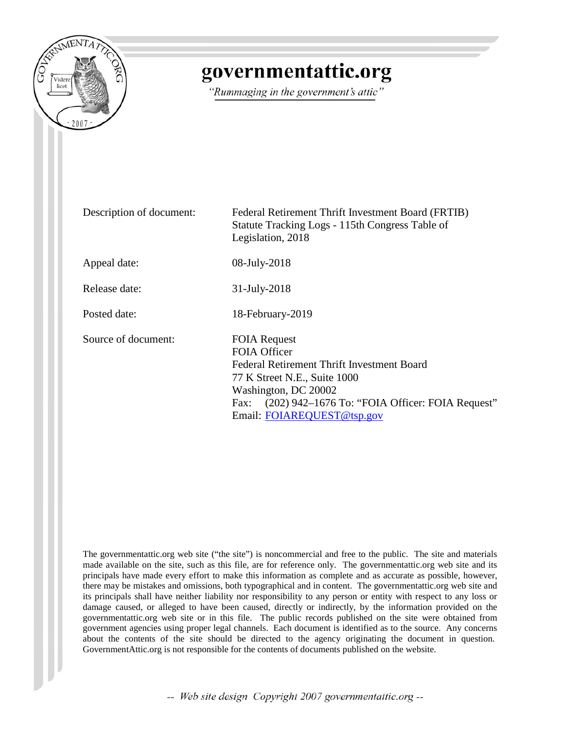

## governmentattic.org

"Rummaging in the government's attic"

| Description of document: | Federal Retirement Thrift Investment Board (FRTIB)<br>Statute Tracking Logs - 115th Congress Table of<br>Legislation, 2018                                                                                                             |
|--------------------------|----------------------------------------------------------------------------------------------------------------------------------------------------------------------------------------------------------------------------------------|
| Appeal date:             | 08-July-2018                                                                                                                                                                                                                           |
| Release date:            | 31-July-2018                                                                                                                                                                                                                           |
| Posted date:             | 18-February-2019                                                                                                                                                                                                                       |
| Source of document:      | <b>FOIA Request</b><br><b>FOIA Officer</b><br>Federal Retirement Thrift Investment Board<br>77 K Street N.E., Suite 1000<br>Washington, DC 20002<br>Fax: (202) 942–1676 To: "FOIA Officer: FOIA Request"<br>Email: FOIAREQUEST@tsp.gov |

The governmentattic.org web site ("the site") is noncommercial and free to the public. The site and materials made available on the site, such as this file, are for reference only. The governmentattic.org web site and its principals have made every effort to make this information as complete and as accurate as possible, however, there may be mistakes and omissions, both typographical and in content. The governmentattic.org web site and its principals shall have neither liability nor responsibility to any person or entity with respect to any loss or damage caused, or alleged to have been caused, directly or indirectly, by the information provided on the governmentattic.org web site or in this file. The public records published on the site were obtained from government agencies using proper legal channels. Each document is identified as to the source. Any concerns about the contents of the site should be directed to the agency originating the document in question. GovernmentAttic.org is not responsible for the contents of documents published on the website.

-- Web site design Copyright 2007 governmentattic.org --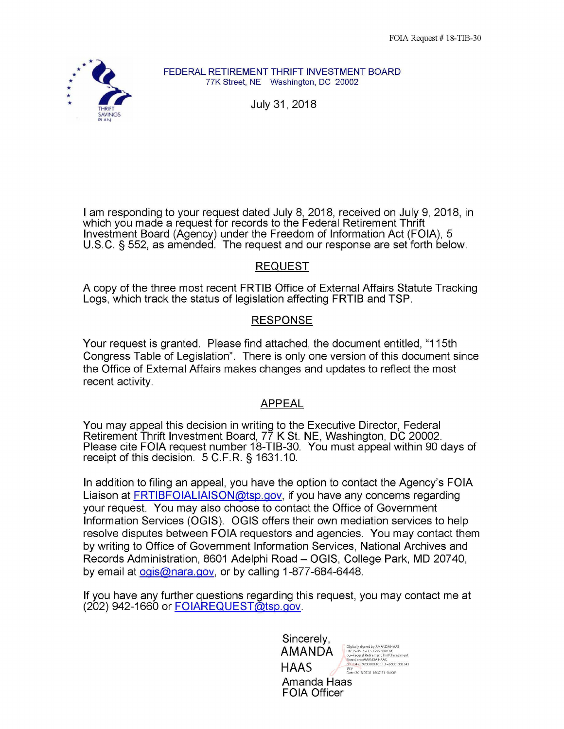

**FEDERAL RETIREMENT THRIFT INVESTMENT BOARD**  77K Street, NE Washington, DC 20002

July 31, 2018

I am responding to your request dated July 8, 2018, received on July 9, 2018, in which you made a request for records to the Federal Retirement Thrift Investment Board (Agency) under the Freedom of Information Act (FOIA), 5 U.S.C. § 552, as amended. The request and our response are set forth below.

## REQUEST

A copy of the three most recent FRTIB Office of External Affairs Statute Tracking Logs, which track the status of legislation affecting FRTIB and TSP.

## RESPONSE

Your request is granted. Please find attached, the document entitled, "115th Congress Table of Legislation". There is only one version of this document since the Office of External Affairs makes changes and updates to reflect the most recent activity.

## APPEAL

You may appeal this decision in writing to the Executive Director, Federal Retirement Thrift Investment Board, 77 K St. NE, Washington, DC 20002. Please cite FOIA request number 18-TIB-30. You must appeal within 90 days of receipt of this decision. 5 C.F.R. § 1631.10.

In addition to filing an appeal, you have the option to contact the Agency's FOIA Liaison at FRTIBFOIALIAISON@tsp.gov, if you have any concerns regarding your request. You may also choose to contact the Office of Government Information Services (OGIS). OGIS offers their own mediation services to help resolve disputes between FOIA requestors and agencies. You may contact them by writing to Office of Government Information Services, National Archives and Records Administration, 8601 Adelphi Road - OGIS, College Park, MD 20740, by email at ogis@nara.gov, or by calling 1-877-684-6448.

If you have any further questions regarding this request, you may contact me at (202) 942-1660 or FOIAREQUEST@tsp.gov.

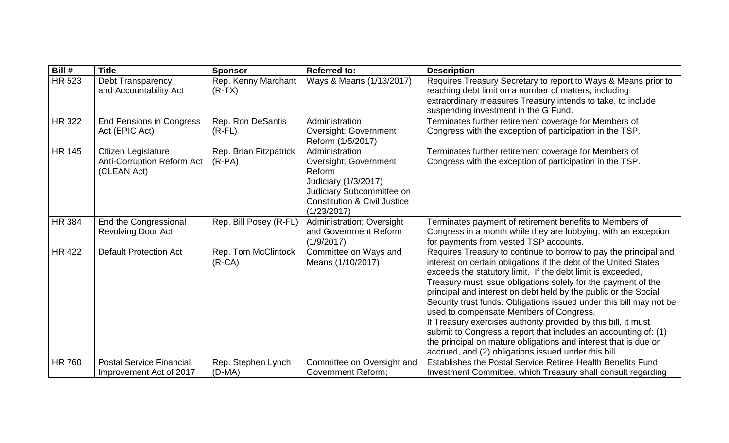| Bill #        | <b>Title</b>                                                            | <b>Sponsor</b>                     | <b>Referred to:</b>                                                                                                                                              | <b>Description</b>                                                                                                                                                                                                                                                                                                                                                                                                                                                                                                                                                                                                                                                                                                        |
|---------------|-------------------------------------------------------------------------|------------------------------------|------------------------------------------------------------------------------------------------------------------------------------------------------------------|---------------------------------------------------------------------------------------------------------------------------------------------------------------------------------------------------------------------------------------------------------------------------------------------------------------------------------------------------------------------------------------------------------------------------------------------------------------------------------------------------------------------------------------------------------------------------------------------------------------------------------------------------------------------------------------------------------------------------|
| <b>HR 523</b> | <b>Debt Transparency</b><br>and Accountability Act                      | Rep. Kenny Marchant<br>$(R-TX)$    | Ways & Means (1/13/2017)                                                                                                                                         | Requires Treasury Secretary to report to Ways & Means prior to<br>reaching debt limit on a number of matters, including<br>extraordinary measures Treasury intends to take, to include<br>suspending investment in the G Fund.                                                                                                                                                                                                                                                                                                                                                                                                                                                                                            |
| <b>HR 322</b> | <b>End Pensions in Congress</b><br>Act (EPIC Act)                       | Rep. Ron DeSantis<br>$(R$ -FL $)$  | Administration<br><b>Oversight; Government</b><br>Reform (1/5/2017)                                                                                              | Terminates further retirement coverage for Members of<br>Congress with the exception of participation in the TSP.                                                                                                                                                                                                                                                                                                                                                                                                                                                                                                                                                                                                         |
| <b>HR 145</b> | Citizen Legislature<br><b>Anti-Corruption Reform Act</b><br>(CLEAN Act) | Rep. Brian Fitzpatrick<br>$(R-PA)$ | Administration<br>Oversight; Government<br>Reform<br>Judiciary (1/3/2017)<br>Judiciary Subcommittee on<br><b>Constitution &amp; Civil Justice</b><br>(1/23/2017) | Terminates further retirement coverage for Members of<br>Congress with the exception of participation in the TSP.                                                                                                                                                                                                                                                                                                                                                                                                                                                                                                                                                                                                         |
| <b>HR 384</b> | End the Congressional<br><b>Revolving Door Act</b>                      | Rep. Bill Posey (R-FL)             | Administration; Oversight<br>and Government Reform<br>(1/9/2017)                                                                                                 | Terminates payment of retirement benefits to Members of<br>Congress in a month while they are lobbying, with an exception<br>for payments from vested TSP accounts.                                                                                                                                                                                                                                                                                                                                                                                                                                                                                                                                                       |
| <b>HR 422</b> | <b>Default Protection Act</b>                                           | Rep. Tom McClintock<br>$(R-CA)$    | Committee on Ways and<br>Means (1/10/2017)                                                                                                                       | Requires Treasury to continue to borrow to pay the principal and<br>interest on certain obligations if the debt of the United States<br>exceeds the statutory limit. If the debt limit is exceeded,<br>Treasury must issue obligations solely for the payment of the<br>principal and interest on debt held by the public or the Social<br>Security trust funds. Obligations issued under this bill may not be<br>used to compensate Members of Congress.<br>If Treasury exercises authority provided by this bill, it must<br>submit to Congress a report that includes an accounting of: (1)<br>the principal on mature obligations and interest that is due or<br>accrued, and (2) obligations issued under this bill. |
| <b>HR 760</b> | <b>Postal Service Financial</b><br>Improvement Act of 2017              | Rep. Stephen Lynch<br>$(D-MA)$     | Committee on Oversight and<br><b>Government Reform;</b>                                                                                                          | <b>Establishes the Postal Service Retiree Health Benefits Fund</b><br>Investment Committee, which Treasury shall consult regarding                                                                                                                                                                                                                                                                                                                                                                                                                                                                                                                                                                                        |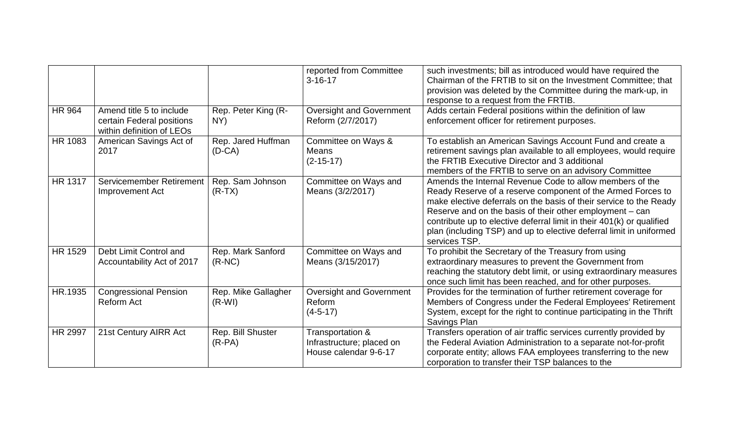|                |                                                                                    |                                 | reported from Committee<br>$3 - 16 - 17$                               | such investments; bill as introduced would have required the<br>Chairman of the FRTIB to sit on the Investment Committee; that<br>provision was deleted by the Committee during the mark-up, in<br>response to a request from the FRTIB.                                                                                                                                                                                   |
|----------------|------------------------------------------------------------------------------------|---------------------------------|------------------------------------------------------------------------|----------------------------------------------------------------------------------------------------------------------------------------------------------------------------------------------------------------------------------------------------------------------------------------------------------------------------------------------------------------------------------------------------------------------------|
| <b>HR 964</b>  | Amend title 5 to include<br>certain Federal positions<br>within definition of LEOs | Rep. Peter King (R-<br>NY)      | <b>Oversight and Government</b><br>Reform (2/7/2017)                   | Adds certain Federal positions within the definition of law<br>enforcement officer for retirement purposes.                                                                                                                                                                                                                                                                                                                |
| HR 1083        | American Savings Act of<br>2017                                                    | Rep. Jared Huffman<br>$(D-CA)$  | Committee on Ways &<br><b>Means</b><br>$(2-15-17)$                     | To establish an American Savings Account Fund and create a<br>retirement savings plan available to all employees, would require<br>the FRTIB Executive Director and 3 additional<br>members of the FRTIB to serve on an advisory Committee                                                                                                                                                                                 |
| <b>HR 1317</b> | Servicemember Retirement<br>Improvement Act                                        | Rep. Sam Johnson<br>$(R-TX)$    | Committee on Ways and<br>Means (3/2/2017)                              | Amends the Internal Revenue Code to allow members of the<br>Ready Reserve of a reserve component of the Armed Forces to<br>make elective deferrals on the basis of their service to the Ready<br>Reserve and on the basis of their other employment – can<br>contribute up to elective deferral limit in their 401(k) or qualified<br>plan (including TSP) and up to elective deferral limit in uniformed<br>services TSP. |
| <b>HR 1529</b> | Debt Limit Control and<br>Accountability Act of 2017                               | Rep. Mark Sanford<br>$(R-NC)$   | Committee on Ways and<br>Means (3/15/2017)                             | To prohibit the Secretary of the Treasury from using<br>extraordinary measures to prevent the Government from<br>reaching the statutory debt limit, or using extraordinary measures<br>once such limit has been reached, and for other purposes.                                                                                                                                                                           |
| HR.1935        | <b>Congressional Pension</b><br><b>Reform Act</b>                                  | Rep. Mike Gallagher<br>$(R-WI)$ | <b>Oversight and Government</b><br>Reform<br>$(4-5-17)$                | Provides for the termination of further retirement coverage for<br>Members of Congress under the Federal Employees' Retirement<br>System, except for the right to continue participating in the Thrift<br>Savings Plan                                                                                                                                                                                                     |
| <b>HR 2997</b> | 21st Century AIRR Act                                                              | Rep. Bill Shuster<br>$(R-PA)$   | Transportation &<br>Infrastructure; placed on<br>House calendar 9-6-17 | Transfers operation of air traffic services currently provided by<br>the Federal Aviation Administration to a separate not-for-profit<br>corporate entity; allows FAA employees transferring to the new<br>corporation to transfer their TSP balances to the                                                                                                                                                               |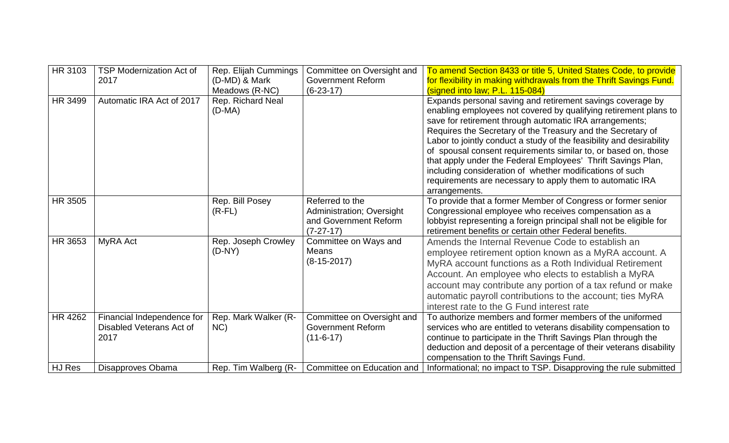| HR 3103        | <b>TSP Modernization Act of</b><br>2017                        | Rep. Elijah Cummings<br>(D-MD) & Mark<br>Meadows (R-NC) | Committee on Oversight and<br><b>Government Reform</b><br>$(6-23-17)$                | To amend Section 8433 or title 5, United States Code, to provide<br>for flexibility in making withdrawals from the Thrift Savings Fund.<br>(signed into law; P.L. 115-084)                                                                                                                                                                                                                                                                                                                                                                                                                                   |
|----------------|----------------------------------------------------------------|---------------------------------------------------------|--------------------------------------------------------------------------------------|--------------------------------------------------------------------------------------------------------------------------------------------------------------------------------------------------------------------------------------------------------------------------------------------------------------------------------------------------------------------------------------------------------------------------------------------------------------------------------------------------------------------------------------------------------------------------------------------------------------|
| HR 3499        | Automatic IRA Act of 2017                                      | Rep. Richard Neal<br>$(D-MA)$                           |                                                                                      | Expands personal saving and retirement savings coverage by<br>enabling employees not covered by qualifying retirement plans to<br>save for retirement through automatic IRA arrangements;<br>Requires the Secretary of the Treasury and the Secretary of<br>Labor to jointly conduct a study of the feasibility and desirability<br>of spousal consent requirements similar to, or based on, those<br>that apply under the Federal Employees' Thrift Savings Plan,<br>including consideration of whether modifications of such<br>requirements are necessary to apply them to automatic IRA<br>arrangements. |
| <b>HR 3505</b> |                                                                | Rep. Bill Posey<br>$(R$ -FL $)$                         | Referred to the<br>Administration; Oversight<br>and Government Reform<br>$(7-27-17)$ | To provide that a former Member of Congress or former senior<br>Congressional employee who receives compensation as a<br>lobbyist representing a foreign principal shall not be eligible for<br>retirement benefits or certain other Federal benefits.                                                                                                                                                                                                                                                                                                                                                       |
| HR 3653        | MyRA Act                                                       | Rep. Joseph Crowley<br>$(D-NY)$                         | Committee on Ways and<br>Means<br>$(8-15-2017)$                                      | Amends the Internal Revenue Code to establish an<br>employee retirement option known as a MyRA account. A<br>MyRA account functions as a Roth Individual Retirement<br>Account. An employee who elects to establish a MyRA<br>account may contribute any portion of a tax refund or make<br>automatic payroll contributions to the account; ties MyRA<br>interest rate to the G Fund interest rate                                                                                                                                                                                                           |
| HR 4262        | Financial Independence for<br>Disabled Veterans Act of<br>2017 | Rep. Mark Walker (R-<br>NC                              | Committee on Oversight and<br><b>Government Reform</b><br>$(11-6-17)$                | To authorize members and former members of the uniformed<br>services who are entitled to veterans disability compensation to<br>continue to participate in the Thrift Savings Plan through the<br>deduction and deposit of a percentage of their veterans disability<br>compensation to the Thrift Savings Fund.                                                                                                                                                                                                                                                                                             |
| HJ Res         | Disapproves Obama                                              | Rep. Tim Walberg (R-                                    | Committee on Education and                                                           | Informational; no impact to TSP. Disapproving the rule submitted                                                                                                                                                                                                                                                                                                                                                                                                                                                                                                                                             |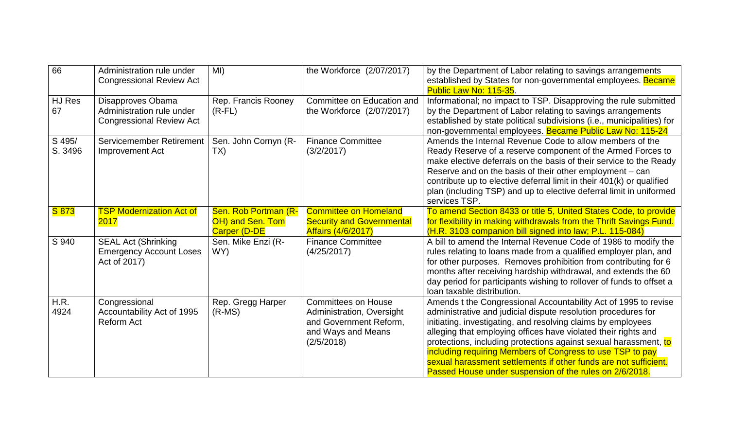| 66                | Administration rule under<br><b>Congressional Review Act</b>                      | MI)                                                             | the Workforce (2/07/2017)                                                                                             | by the Department of Labor relating to savings arrangements<br>established by States for non-governmental employees. Became<br>Public Law No: 115-35.                                                                                                                                                                                                                                                                                                                                                                              |
|-------------------|-----------------------------------------------------------------------------------|-----------------------------------------------------------------|-----------------------------------------------------------------------------------------------------------------------|------------------------------------------------------------------------------------------------------------------------------------------------------------------------------------------------------------------------------------------------------------------------------------------------------------------------------------------------------------------------------------------------------------------------------------------------------------------------------------------------------------------------------------|
| HJ Res<br>67      | Disapproves Obama<br>Administration rule under<br><b>Congressional Review Act</b> | Rep. Francis Rooney<br>$(R$ -FL $)$                             | Committee on Education and<br>the Workforce (2/07/2017)                                                               | Informational; no impact to TSP. Disapproving the rule submitted<br>by the Department of Labor relating to savings arrangements<br>established by state political subdivisions (i.e., municipalities) for<br>non-governmental employees. Became Public Law No: 115-24                                                                                                                                                                                                                                                              |
| S 495/<br>S. 3496 | Servicemember Retirement<br>Improvement Act                                       | Sen. John Cornyn (R-<br>TX)                                     | <b>Finance Committee</b><br>(3/2/2017)                                                                                | Amends the Internal Revenue Code to allow members of the<br>Ready Reserve of a reserve component of the Armed Forces to<br>make elective deferrals on the basis of their service to the Ready<br>Reserve and on the basis of their other employment – can<br>contribute up to elective deferral limit in their 401(k) or qualified<br>plan (including TSP) and up to elective deferral limit in uniformed<br>services TSP.                                                                                                         |
| S 873             | <b>TSP Modernization Act of</b><br>2017                                           | Sen. Rob Portman (R-<br>OH) and Sen. Tom<br><b>Carper (D-DE</b> | <b>Committee on Homeland</b><br><b>Security and Governmental</b><br><b>Affairs (4/6/2017)</b>                         | To amend Section 8433 or title 5, United States Code, to provide<br>for flexibility in making withdrawals from the Thrift Savings Fund.<br>(H.R. 3103 companion bill signed into law; P.L. 115-084)                                                                                                                                                                                                                                                                                                                                |
| S 940             | <b>SEAL Act (Shrinking</b><br><b>Emergency Account Loses</b><br>Act of 2017)      | Sen. Mike Enzi (R-<br>WY)                                       | <b>Finance Committee</b><br>(4/25/2017)                                                                               | A bill to amend the Internal Revenue Code of 1986 to modify the<br>rules relating to loans made from a qualified employer plan, and<br>for other purposes. Removes prohibition from contributing for 6<br>months after receiving hardship withdrawal, and extends the 60<br>day period for participants wishing to rollover of funds to offset a<br>loan taxable distribution.                                                                                                                                                     |
| H.R.<br>4924      | Congressional<br>Accountability Act of 1995<br>Reform Act                         | Rep. Gregg Harper<br>$(R-MS)$                                   | <b>Committees on House</b><br>Administration, Oversight<br>and Government Reform,<br>and Ways and Means<br>(2/5/2018) | Amends t the Congressional Accountability Act of 1995 to revise<br>administrative and judicial dispute resolution procedures for<br>initiating, investigating, and resolving claims by employees<br>alleging that employing offices have violated their rights and<br>protections, including protections against sexual harassment, to<br>including requiring Members of Congress to use TSP to pay<br>sexual harassment settlements if other funds are not sufficient.<br>Passed House under suspension of the rules on 2/6/2018. |